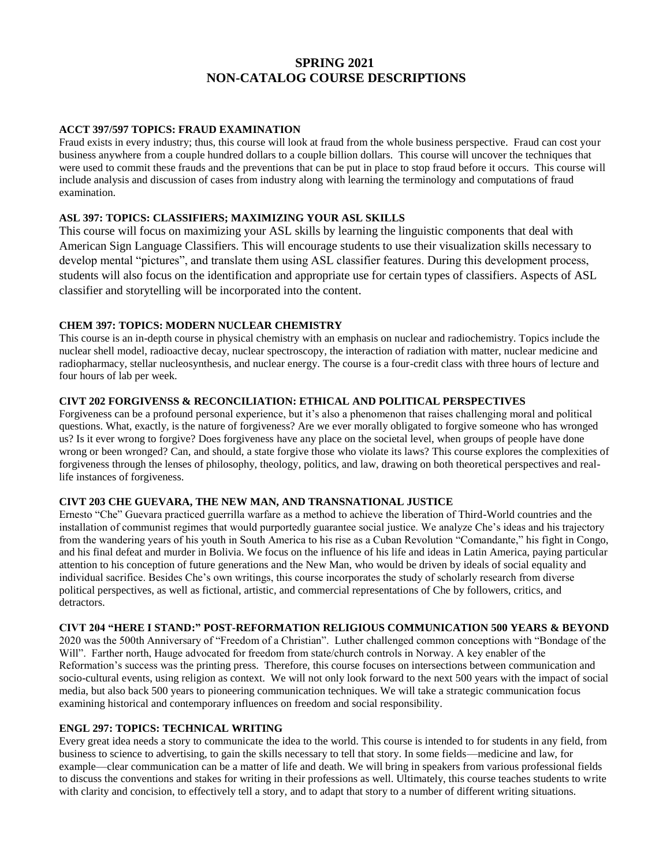# **SPRING 2021 NON-CATALOG COURSE DESCRIPTIONS**

#### **ACCT 397/597 TOPICS: FRAUD EXAMINATION**

Fraud exists in every industry; thus, this course will look at fraud from the whole business perspective. Fraud can cost your business anywhere from a couple hundred dollars to a couple billion dollars. This course will uncover the techniques that were used to commit these frauds and the preventions that can be put in place to stop fraud before it occurs. This course will include analysis and discussion of cases from industry along with learning the terminology and computations of fraud examination.

## **ASL 397: TOPICS: CLASSIFIERS; MAXIMIZING YOUR ASL SKILLS**

This course will focus on maximizing your ASL skills by learning the linguistic components that deal with American Sign Language Classifiers. This will encourage students to use their visualization skills necessary to develop mental "pictures", and translate them using ASL classifier features. During this development process, students will also focus on the identification and appropriate use for certain types of classifiers. Aspects of ASL classifier and storytelling will be incorporated into the content.

# **CHEM 397: TOPICS: MODERN NUCLEAR CHEMISTRY**

This course is an in-depth course in physical chemistry with an emphasis on nuclear and radiochemistry. Topics include the nuclear shell model, radioactive decay, nuclear spectroscopy, the interaction of radiation with matter, nuclear medicine and radiopharmacy, stellar nucleosynthesis, and nuclear energy. The course is a four-credit class with three hours of lecture and four hours of lab per week.

#### **CIVT 202 FORGIVENSS & RECONCILIATION: ETHICAL AND POLITICAL PERSPECTIVES**

Forgiveness can be a profound personal experience, but it's also a phenomenon that raises challenging moral and political questions. What, exactly, is the nature of forgiveness? Are we ever morally obligated to forgive someone who has wronged us? Is it ever wrong to forgive? Does forgiveness have any place on the societal level, when groups of people have done wrong or been wronged? Can, and should, a state forgive those who violate its laws? This course explores the complexities of forgiveness through the lenses of philosophy, theology, politics, and law, drawing on both theoretical perspectives and reallife instances of forgiveness.

#### **CIVT 203 CHE GUEVARA, THE NEW MAN, AND TRANSNATIONAL JUSTICE**

Ernesto "Che" Guevara practiced guerrilla warfare as a method to achieve the liberation of Third-World countries and the installation of communist regimes that would purportedly guarantee social justice. We analyze Che's ideas and his trajectory from the wandering years of his youth in South America to his rise as a Cuban Revolution "Comandante," his fight in Congo, and his final defeat and murder in Bolivia. We focus on the influence of his life and ideas in Latin America, paying particular attention to his conception of future generations and the New Man, who would be driven by ideals of social equality and individual sacrifice. Besides Che's own writings, this course incorporates the study of scholarly research from diverse political perspectives, as well as fictional, artistic, and commercial representations of Che by followers, critics, and detractors.

#### **CIVT 204 "HERE I STAND:" POST-REFORMATION RELIGIOUS COMMUNICATION 500 YEARS & BEYOND**

2020 was the 500th Anniversary of "Freedom of a Christian". Luther challenged common conceptions with "Bondage of the Will". Farther north, Hauge advocated for freedom from state/church controls in Norway. A key enabler of the Reformation's success was the printing press. Therefore, this course focuses on intersections between communication and socio-cultural events, using religion as context. We will not only look forward to the next 500 years with the impact of social media, but also back 500 years to pioneering communication techniques. We will take a strategic communication focus examining historical and contemporary influences on freedom and social responsibility.

#### **ENGL 297: TOPICS: TECHNICAL WRITING**

Every great idea needs a story to communicate the idea to the world. This course is intended to for students in any field, from business to science to advertising, to gain the skills necessary to tell that story. In some fields—medicine and law, for example—clear communication can be a matter of life and death. We will bring in speakers from various professional fields to discuss the conventions and stakes for writing in their professions as well. Ultimately, this course teaches students to write with clarity and concision, to effectively tell a story, and to adapt that story to a number of different writing situations.